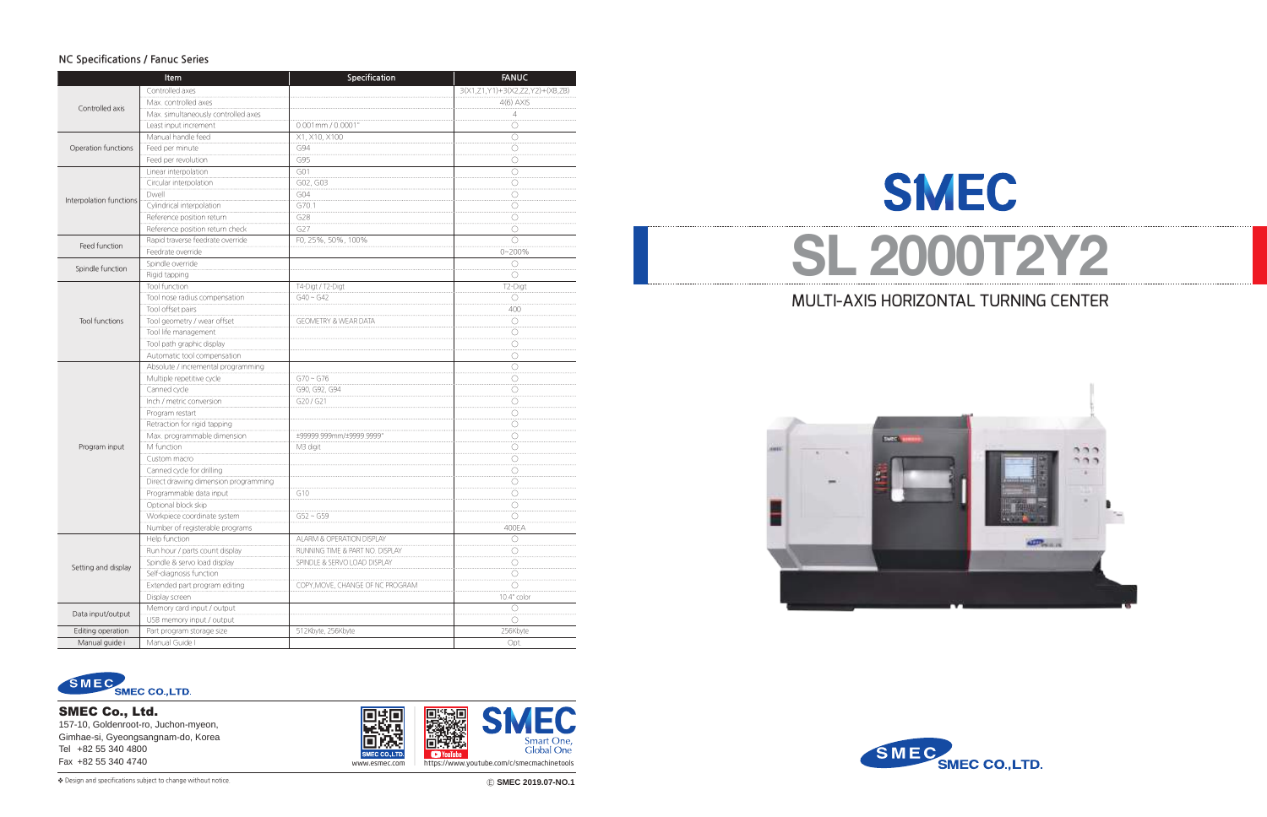# MULTI-AXIS HORIZONTAL TURNING CENTER

# **SMEC SL 2000T2Y2**





### **NC Specifications / Fanuc Series**

❖ Ⓔ **SMEC 2019.07-NO.1** Design and specifications subject to change without notice.



SMEC Co., Ltd.

157-10, Goldenroot-ro, Juchon-myeon, Gimhae-si, Gyeongsangnam-do, Korea Tel +82 55 340 4800



|                         | Item                                 | Specification                   | <b>FANUC</b>                    |
|-------------------------|--------------------------------------|---------------------------------|---------------------------------|
|                         | Controlled axes                      |                                 | 3(X1,Z1,Y1)+3(X2,Z2,Y2)+(XB,ZB) |
| Controlled axis         | Max. controlled axes                 |                                 | $4(6)$ AXIS                     |
|                         | Max. simultaneously controlled axes  |                                 | 4                               |
|                         | Least input increment                | 0.001mm / 0.0001'               | O                               |
|                         | Manual handle feed                   | X1, X10, X100                   | $\bigcirc$                      |
| Operation functions     | Feed per minute                      | G94                             | O                               |
|                         | Feed per revolution                  | G95                             | O                               |
|                         | Linear interpolation                 | G01                             | $\bigcirc$                      |
|                         | Circular interpolation               | G02, G03                        | O                               |
|                         | Dwell                                | G04                             | O                               |
| Interpolation functions | Cylindrical interpolation            | G70.1                           | O                               |
|                         | Reference position return            | G28                             | O                               |
|                         | Reference position return check      | G27                             | O                               |
|                         | Rapid traverse feedrate override     | FO, 25%, 50%, 100%              | $\bigcirc$                      |
| Feed function           | Feedrate override                    |                                 | $0 - 200%$                      |
|                         | Spindle override                     |                                 | $\bigcirc$                      |
| Spindle function        | Rigid tapping                        |                                 | O                               |
|                         | Tool function                        | T4-Digt / T2-Digt               | T2-Digt                         |
|                         | Tool nose radius compensation        | $G40 \sim G42$                  | O                               |
|                         | Tool offset pairs                    |                                 | 400                             |
| <b>Tool functions</b>   | Tool geometry / wear offset          | <b>GEOMETRY &amp; WEAR DATA</b> | O                               |
|                         | Tool life management                 |                                 | O                               |
|                         | Tool path graphic display            |                                 | O                               |
|                         | Automatic tool compensation          |                                 | O                               |
|                         | Absolute / incremental programming   |                                 | O                               |
|                         | Multiple repetitive cycle            | $G70 - G76$                     | O                               |
|                         | Canned cycle                         | G90, G92, G94                   | O                               |
|                         | Inch / metric conversion             | G20/G21                         | O                               |
|                         | Program restart                      |                                 | O                               |
|                         | Retraction for rigid tapping         |                                 | O                               |
|                         | Max. programmable dimension          | ±99999.999mm/±9999.9999'        | O                               |
| Program input           | M function                           | M3 digit                        | O                               |
|                         | Custom macro                         |                                 | O                               |
|                         | Canned cycle for drilling            |                                 | O                               |
|                         | Direct drawing dimension programming |                                 | O                               |
|                         | Programmable data input              | G10                             | O                               |
|                         | Optional block skip                  |                                 | O                               |
|                         | Workpiece coordinate system          | $G52 \sim G59$                  | O                               |
|                         | Number of registerable programs      |                                 | 400EA                           |
|                         | Help function                        | ALARM & OPERATION DISPLAY       | O                               |
| Setting and display     | Run hour / parts count display       | RUNNING TIME & PART NO. DISPLAY | O                               |
|                         | Spindle & servo load display         | SPINDLE & SERVO LOAD DISPLAY    | O                               |
|                         | Self-diagnosis function              |                                 | O                               |
|                         | Extended part program editing        | COPY,MOVE, CHANGE OF NC PROGRAM | O                               |
|                         | Display screen                       |                                 | 10.4" color                     |
|                         | Memory card input / output           |                                 | O                               |
| Data input/output       | USB memory input / output            |                                 | O                               |
| Editing operation       | Part program storage size            | 512Kbyte, 256Kbyte              | 256Kbyte                        |
| Manual guide i          | Manual Guide I                       |                                 | Opt.                            |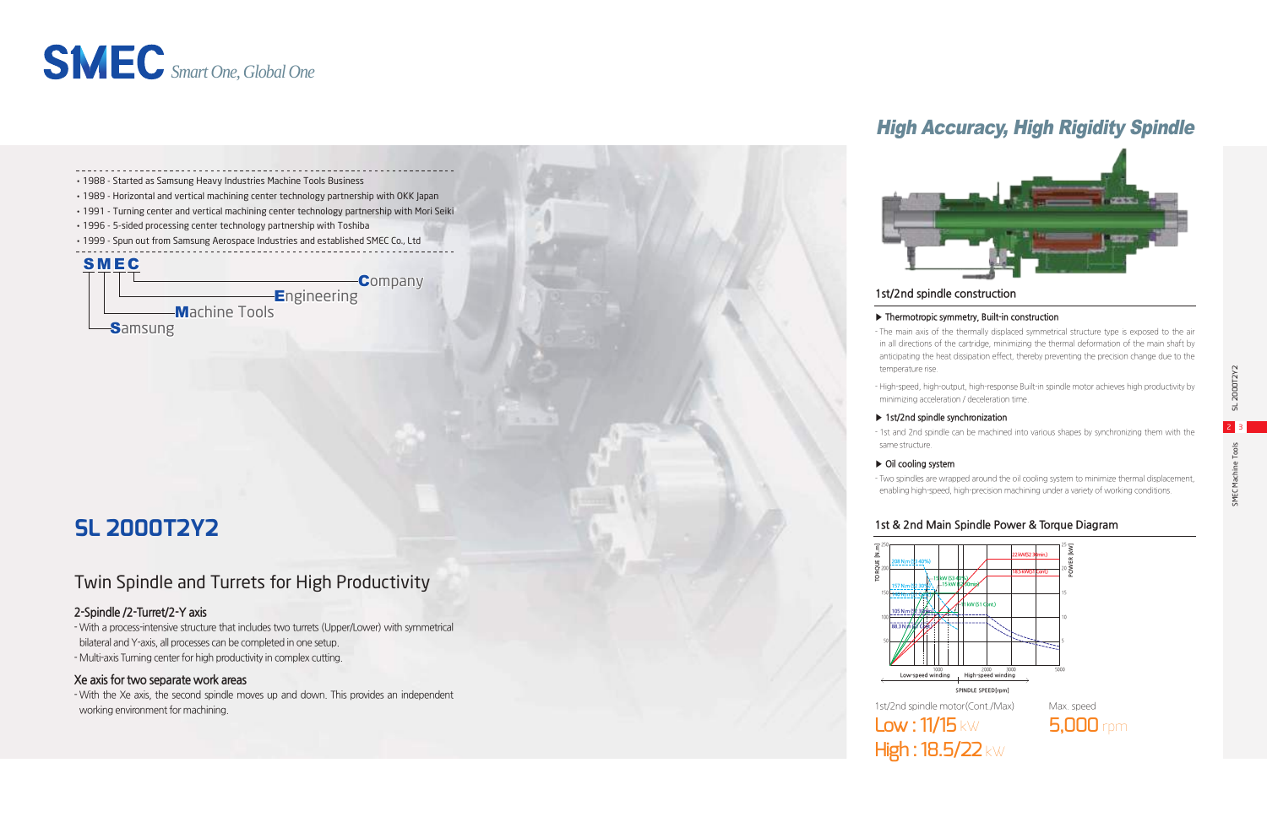### **2-Spindle /2-Turret/2-Y axis**

- With a process-intensive structure that includes two turrets (Upper/Lower) with symmetrical bilateral and Y-axis, all processes can be completed in one setup.

- Multi-axis Turning center for high productivity in complex cutting.

### **Xe axis for two separate work areas**

- With the Xe axis, the second spindle moves up and down. This provides an independent working environment for machining.

# Twin Spindle and Turrets for High Productivity



# High Accuracy, High Rigidity Spindle



### **1st & 2nd Main Spindle Power & Torque Diagram**

### **1st/2nd spindle construction**

### **▶ Thermotropic symmetry, Built-in construction**

- The main axis of the thermally displaced symmetrical structure type is exposed to the air in all directions of the cartridge, minimizing the thermal deformation of the main shaft by anticipating the heat dissipation effect, thereby preventing the precision change due to the

- temperature rise.
	-

- High-speed, high-output, high-response Built-in spindle motor achieves high productivity by minimizing acceleration / deceleration time.

### **▶ 1st/2nd spindle synchronization**

- 1st and 2nd spindle can be machined into various shapes by synchronizing them with the

same structure.

### **▶ Oil cooling system**

- Two spindles are wrapped around the oil cooling system to minimize thermal displacement, enabling high-speed, high-precision machining under a variety of working conditions.



# **SL 2000T2Y2**



High: 18.5/22 kW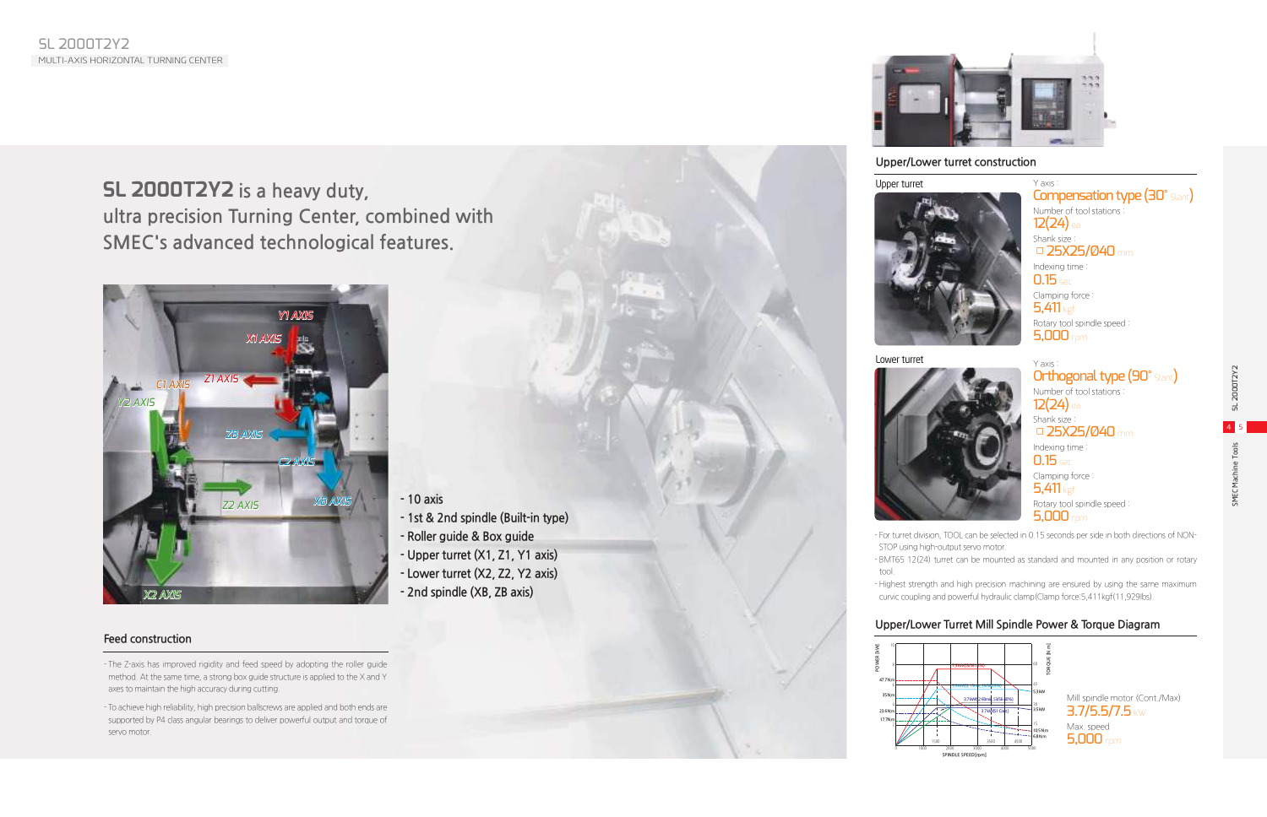# **SL 2000T2Y2 is a heavy duty, ultra precision Turning Center, combined with SMEC's advanced technological features.**

# Upper turret



### Lower turret



- For turret division, TOOL can be selected in 0.15 seconds per side in both directions of NON-STOP using high-output servo motor.

- BMT65 12(24) turret can be mounted as standard and mounted in any position or rotary

- tool.
- 

Y axis : **Orthogonal type (90°** Slant) Number of tool stations : 12(24) ea Shank size : □ 25X25/Ø40 mm Indexing time : **0.15** sec Clamping force : 5.411 kgf Rotary tool spindle speed : 5,000 rpm

- Highest strength and high precision machining are ensured by using the same maximum curvic coupling and powerful hydraulic clamp(Clamp force:5,411kgf(11,929Ibs).

Y axis :

### **Upper/Lower turret construction**

Compensation type (30° Slant) Number of tool stations : 12(24) ea Shank size : □ 25X25/Ø40 mm Indexing time : 0.15 sec Clamping force : 5.411 kgf Rotary tool spindle speed : **5,000** rpm



### **Upper/Lower Turret Mill Spindle Power & Torque Diagram**



| POWER [kW] | 10                        |  |
|------------|---------------------------|--|
|            | 8                         |  |
|            | 47.7 N.m                  |  |
|            | 35N.m                     |  |
|            | 4                         |  |
|            | 23,6N,m                   |  |
|            | 17,7N,m<br>$\overline{c}$ |  |
|            |                           |  |





# **Feed construction**

- The Z-axis has improved rigidity and feed speed by adopting the roller guide method. At the same time, a strong box guide structure is applied to the X and Y axes to maintain the high accuracy during cutting.
- To achieve high reliability, high precision ballscrews are applied and both ends are supported by P4 class angular bearings to deliver powerful output and torque of servo motor.



- **1st & 2nd spindle (Built-in type)**
- **Roller guide & Box guide**
- **Upper turret (X1, Z1, Y1 axis)**
- **Lower turret (X2, Z2, Y2 axis)**
- **2nd spindle (XB, ZB axis)**

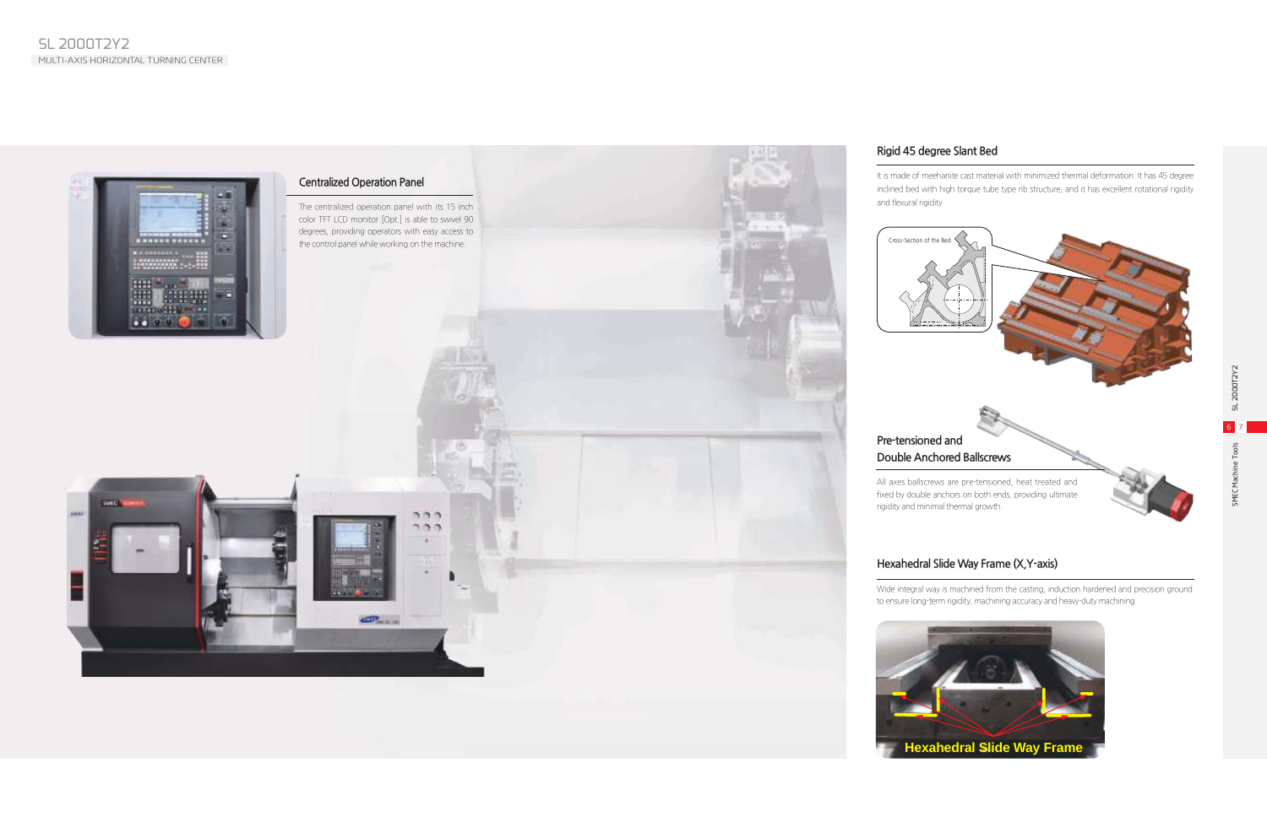### **Rigid 45 degree Slant Bed**

It is made of meehanite cast material with minimized thermal deformation. It has 45 degree inclined bed with high torque tube type rib structure, and it has excellent rotational rigidity and flexural rigidity.

## **Hexahedral Slide Way Frame (X,Y-axis)**

Wide integral way is machined from the casting, induction hardened and precision ground to ensure long-term rigidity, machining accuracy and heavy-duty machining.





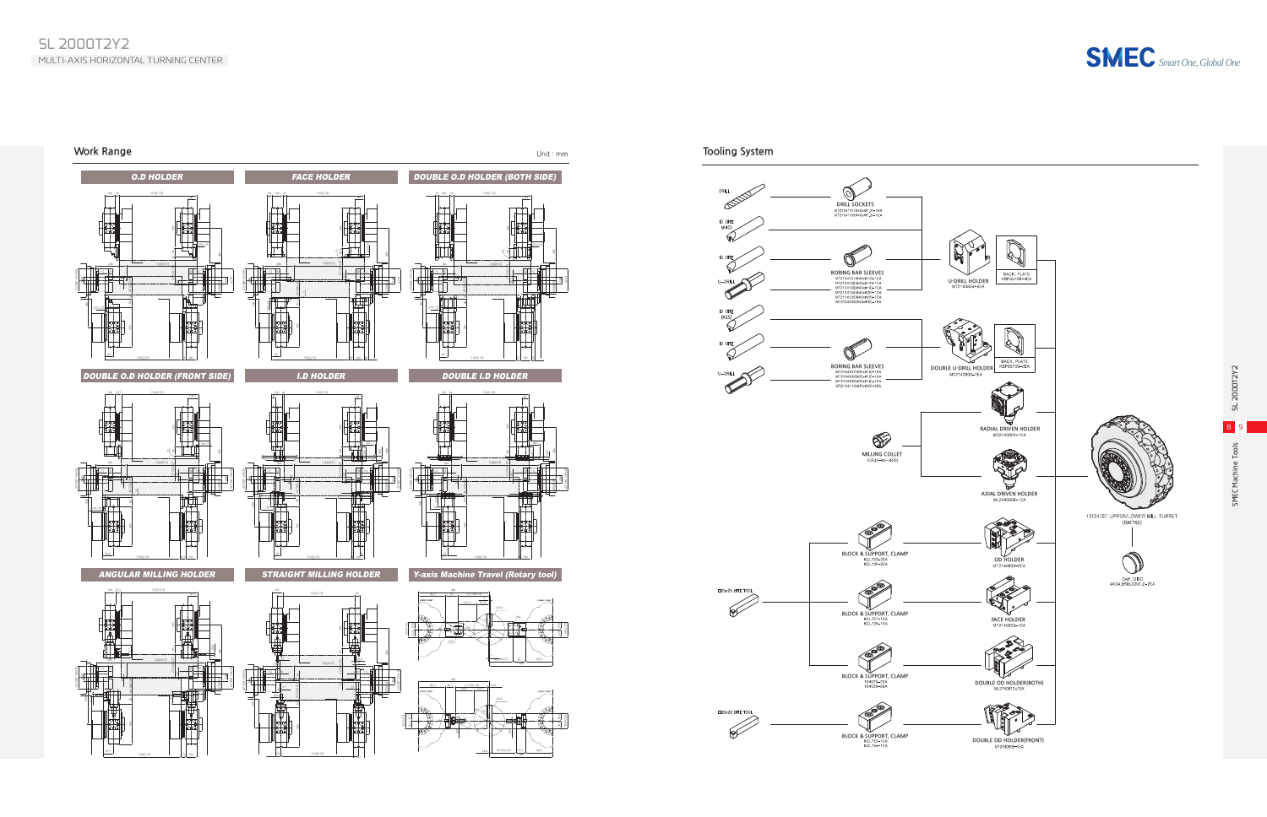





710(Z2 ST) 47.2 100

100

710(Z2 ST)